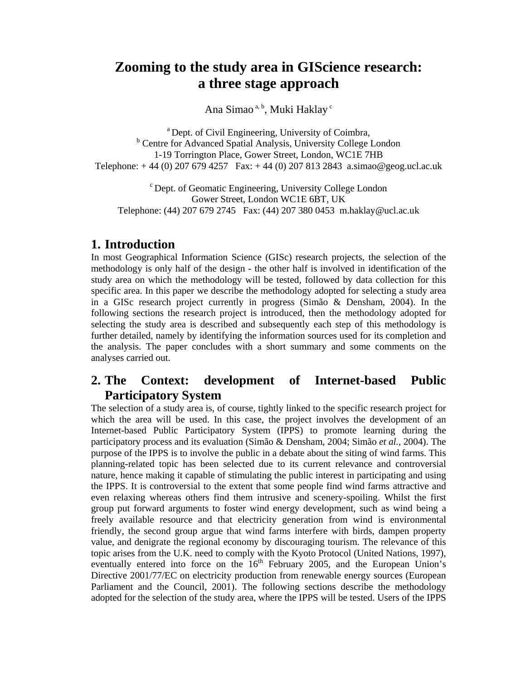# **Zooming to the study area in GIScience research: a three stage approach**

Ana Simao<sup>a, b</sup>, Muki Haklay<sup>c</sup>

a Dept. of Civil Engineering, University of Coimbra, <sup>b</sup> Centre for Advanced Spatial Analysis, University College London 1-19 Torrington Place, Gower Street, London, WC1E 7HB Telephone: + 44 (0) 207 679 4257 Fax: + 44 (0) 207 813 2843 a.simao@geog.ucl.ac.uk

c Dept. of Geomatic Engineering, University College London Gower Street, London WC1E 6BT, UK Telephone: (44) 207 679 2745 Fax: (44) 207 380 0453 m.haklay@ucl.ac.uk

# **1. Introduction**

In most Geographical Information Science (GISc) research projects, the selection of the methodology is only half of the design - the other half is involved in identification of the study area on which the methodology will be tested, followed by data collection for this specific area. In this paper we describe the methodology adopted for selecting a study area in a GISc research project currently in progress (Simão & Densham, 2004). In the following sections the research project is introduced, then the methodology adopted for selecting the study area is described and subsequently each step of this methodology is further detailed, namely by identifying the information sources used for its completion and the analysis. The paper concludes with a short summary and some comments on the analyses carried out.

# **2. The Context: development of Internet-based Public Participatory System**

The selection of a study area is, of course, tightly linked to the specific research project for which the area will be used. In this case, the project involves the development of an Internet-based Public Participatory System (IPPS) to promote learning during the participatory process and its evaluation (Simão & Densham, 2004; Simão *et al.*, 2004). The purpose of the IPPS is to involve the public in a debate about the siting of wind farms. This planning-related topic has been selected due to its current relevance and controversial nature, hence making it capable of stimulating the public interest in participating and using the IPPS. It is controversial to the extent that some people find wind farms attractive and even relaxing whereas others find them intrusive and scenery-spoiling. Whilst the first group put forward arguments to foster wind energy development, such as wind being a freely available resource and that electricity generation from wind is environmental friendly, the second group argue that wind farms interfere with birds, dampen property value, and denigrate the regional economy by discouraging tourism. The relevance of this topic arises from the U.K. need to comply with the Kyoto Protocol (United Nations, 1997), eventually entered into force on the  $16<sup>th</sup>$  February 2005, and the European Union's Directive 2001/77/EC on electricity production from renewable energy sources (European Parliament and the Council, 2001). The following sections describe the methodology adopted for the selection of the study area, where the IPPS will be tested. Users of the IPPS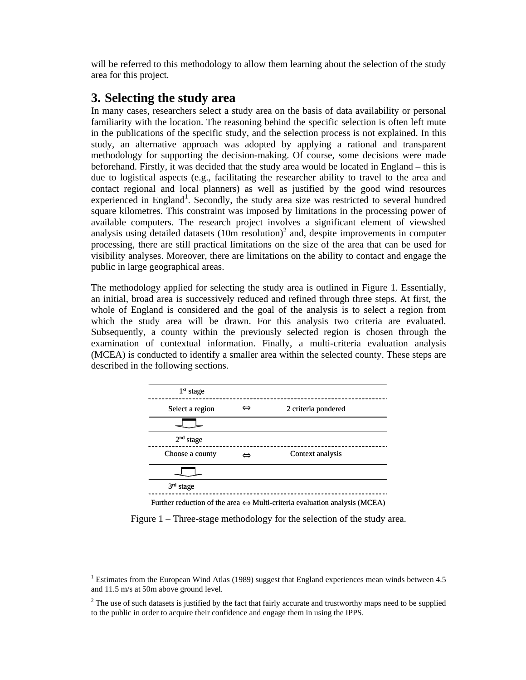will be referred to this methodology to allow them learning about the selection of the study area for this project.

# **3. Selecting the study area**

 $\overline{a}$ 

In many cases, researchers select a study area on the basis of data availability or personal familiarity with the location. The reasoning behind the specific selection is often left mute in the publications of the specific study, and the selection process is not explained. In this study, an alternative approach was adopted by applying a rational and transparent methodology for supporting the decision-making. Of course, some decisions were made beforehand. Firstly, it was decided that the study area would be located in England – this is due to logistical aspects (e.g., facilitating the researcher ability to travel to the area and contact regional and local planners) as well as justified by the good wind resources experienced in England<sup>1</sup>. Secondly, the study area size was restricted to several hundred square kilometres. This constraint was imposed by limitations in the processing power of available computers. The research project involves a significant element of viewshed analysis using detailed datasets  $(10m$  resolution)<sup>2</sup> and, despite improvements in computer processing, there are still practical limitations on the size of the area that can be used for visibility analyses. Moreover, there are limitations on the ability to contact and engage the public in large geographical areas.

The methodology applied for selecting the study area is outlined in Figure 1. Essentially, an initial, broad area is successively reduced and refined through three steps. At first, the whole of England is considered and the goal of the analysis is to select a region from which the study area will be drawn. For this analysis two criteria are evaluated. Subsequently, a county within the previously selected region is chosen through the examination of contextual information. Finally, a multi-criteria evaluation analysis (MCEA) is conducted to identify a smaller area within the selected county. These steps are described in the following sections.



Figure 1 – Three-stage methodology for the selection of the study area.

<sup>&</sup>lt;sup>1</sup> Estimates from the European Wind Atlas (1989) suggest that England experiences mean winds between 4.5 and 11.5 m/s at 50m above ground level.

 $2^2$  The use of such datasets is justified by the fact that fairly accurate and trustworthy maps need to be supplied to the public in order to acquire their confidence and engage them in using the IPPS.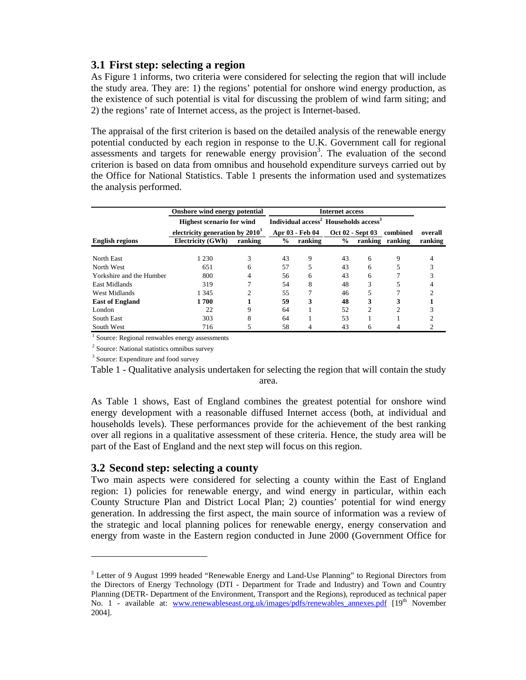#### **3.1 First step: selecting a region**

As Figure 1 informs, two criteria were considered for selecting the region that will include the study area. They are: 1) the regions' potential for onshore wind energy production, as the existence of such potential is vital for discussing the problem of wind farm siting; and 2) the regions' rate of Internet access, as the project is Internet-based.

The appraisal of the first criterion is based on the detailed analysis of the renewable energy potential conducted by each region in response to the U.K. Government call for regional  $\overline{\mathbf{a}}$  assessments and targets for renewable energy provision<sup>3</sup>. The evaluation of the second criterion is based on data from omnibus and household expenditure surveys carried out by the Office for National Statistics. Table 1 presents the information used and systematizes the analysis performed.

|                          | Onshore wind energy potential     |                                                               |                 |         |               |                           |                 |         |
|--------------------------|-----------------------------------|---------------------------------------------------------------|-----------------|---------|---------------|---------------------------|-----------------|---------|
|                          | <b>Highest scenario for wind</b>  | Individual access <sup>2</sup> Households access <sup>3</sup> |                 |         |               |                           |                 |         |
|                          | electricity generation by $20101$ |                                                               | Apr 03 - Feb 04 |         |               | Oct 02 - Sept 03 combined | overall         |         |
| <b>English regions</b>   | <b>Electricity (GWh)</b>          | ranking                                                       | $\frac{6}{9}$   | ranking | $\frac{0}{0}$ |                           | ranking ranking | ranking |
|                          |                                   |                                                               |                 |         |               |                           |                 |         |
| North East               | 1 2 3 0                           | 3                                                             | 43              | 9       | 43            | 6                         | 9               |         |
| North West               | 651                               | 6                                                             | 57              |         | 43            | 6                         |                 | 3       |
| Yorkshire and the Humber | 800                               | 4                                                             | 56              | 6       | 43            | 6                         |                 |         |
| East Midlands            | 319                               |                                                               | 54              | 8       | 48            | 3                         |                 |         |
| West Midlands            | 1 3 4 5                           | 2                                                             | 55              |         | 46            | 5                         |                 | C       |
| <b>East of England</b>   | 1700                              |                                                               | 59              | 3       | 48            | 3                         | 3               |         |
| London                   | 22                                | 9                                                             | 64              |         | 52            | $\overline{c}$            | 2               |         |
| South East               | 303                               | 8                                                             | 64              |         | 53            |                           |                 |         |
| South West               | 716                               |                                                               | 58              | 4       | 43            | 6                         |                 |         |

<sup>1</sup> Source: Regional renwables energy assessments

<sup>2</sup> Source: National statistics omnibus survey

<sup>3</sup> Source: Expenditure and food survey

 $\overline{a}$ 

Table 1 - Qualitative analysis undertaken for selecting the region that will contain the study area.

As Table 1 shows, East of England combines the greatest potential for onshore wind energy development with a reasonable diffused Internet access (both, at individual and households levels). These performances provide for the achievement of the best ranking over all regions in a qualitative assessment of these criteria. Hence, the study area will be part of the East of England and the next step will focus on this region.

#### **3.2 Second step: selecting a county**

Two main aspects were considered for selecting a county within the East of England region: 1) policies for renewable energy, and wind energy in particular, within each County Structure Plan and District Local Plan; 2) counties' potential for wind energy generation. In addressing the first aspect, the main source of information was a review of the strategic and local planning polices for renewable energy, energy conservation and energy from waste in the Eastern region conducted in June 2000 (Government Office for

<sup>&</sup>lt;sup>3</sup> Letter of 9 August 1999 headed "Renewable Energy and Land-Use Planning" to Regional Directors from the Directors of Energy Technology (DTI - Department for Trade and Industry) and Town and Country Planning (DETR- Department of the Environment, Transport and the Regions), reproduced as technical paper No. 1 - available at: www.renewableseast.org.uk/images/pdfs/renewables\_annexes.pdf [19<sup>th</sup> November 2004].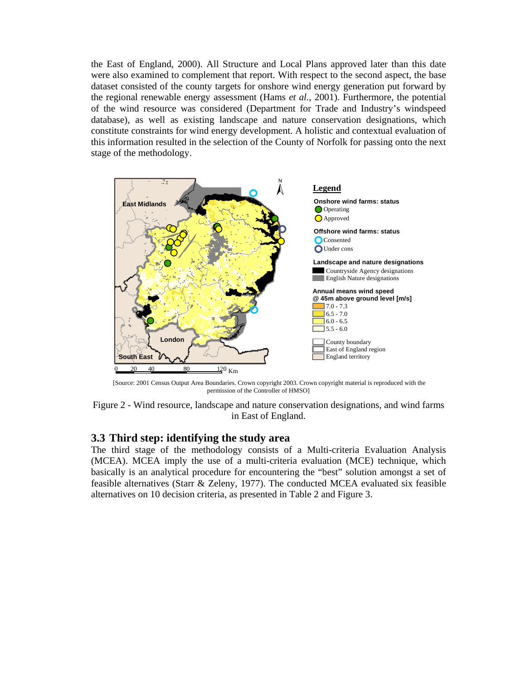the East of England, 2000). All Structure and Local Plans approved later than this date were also examined to complement that report. With respect to the second aspect, the base dataset consisted of the county targets for onshore wind energy generation put forward by the regional renewable energy assessment (Hams *et al.*, 2001). Furthermore, the potential of the wind resource was considered (Department for Trade and Industry's windspeed database), as well as existing landscape and nature conservation designations, which constitute constraints for wind energy development. A holistic and contextual evaluation of this information resulted in the selection of the County of Norfolk for passing onto the next stage of the methodology.



[Source: 2001 Census Output Area Boundaries. Crown copyright 2003. Crown copyright material is reproduced with the permission of the Controller of HMSO]

Figure 2 - Wind resource, landscape and nature conservation designations, and wind farms in East of England.

#### **3.3 Third step: identifying the study area**

The third stage of the methodology consists of a Multi-criteria Evaluation Analysis (MCEA). MCEA imply the use of a multi-criteria evaluation (MCE) technique, which basically is an analytical procedure for encountering the "best" solution amongst a set of feasible alternatives (Starr & Zeleny, 1977). The conducted MCEA evaluated six feasible alternatives on 10 decision criteria, as presented in Table 2 and Figure 3.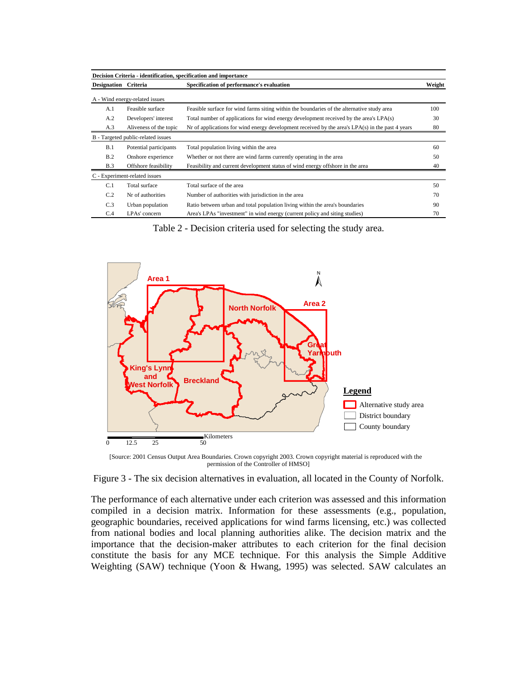| Designation Criteria<br>Specification of performance's evaluation<br>Weight<br>A - Wind energy-related issues<br>Feasible surface for wind farms siting within the boundaries of the alternative study area<br>Feasible surface<br>A.1<br>A.2<br>Developers' interest<br>Total number of applications for wind energy development received by the area's LPA(s)<br>Aliveness of the topic<br>Nr of applications for wind energy development received by the area's LPA(s) in the past 4 years<br>A.3<br>B - Targeted public-related issues<br>B.1<br>Potential participants<br>Total population living within the area<br>B.2<br>Onshore experience<br>Whether or not there are wind farms currently operating in the area<br>Feasibility and current development status of wind energy offshore in the area<br>Offshore feasibility<br><b>B.3</b><br>C - Experiment-related issues<br>C.1<br>Total surface<br>Total surface of the area<br>C.2<br>Nr of authorities<br>Number of authorities with jurisdiction in the area | Decision Criteria - identification, specification and importance |                  |                                                                              |     |  |  |  |  |  |
|-----------------------------------------------------------------------------------------------------------------------------------------------------------------------------------------------------------------------------------------------------------------------------------------------------------------------------------------------------------------------------------------------------------------------------------------------------------------------------------------------------------------------------------------------------------------------------------------------------------------------------------------------------------------------------------------------------------------------------------------------------------------------------------------------------------------------------------------------------------------------------------------------------------------------------------------------------------------------------------------------------------------------------|------------------------------------------------------------------|------------------|------------------------------------------------------------------------------|-----|--|--|--|--|--|
|                                                                                                                                                                                                                                                                                                                                                                                                                                                                                                                                                                                                                                                                                                                                                                                                                                                                                                                                                                                                                             |                                                                  |                  |                                                                              |     |  |  |  |  |  |
|                                                                                                                                                                                                                                                                                                                                                                                                                                                                                                                                                                                                                                                                                                                                                                                                                                                                                                                                                                                                                             |                                                                  |                  |                                                                              |     |  |  |  |  |  |
|                                                                                                                                                                                                                                                                                                                                                                                                                                                                                                                                                                                                                                                                                                                                                                                                                                                                                                                                                                                                                             |                                                                  |                  |                                                                              | 100 |  |  |  |  |  |
|                                                                                                                                                                                                                                                                                                                                                                                                                                                                                                                                                                                                                                                                                                                                                                                                                                                                                                                                                                                                                             |                                                                  |                  |                                                                              | 30  |  |  |  |  |  |
|                                                                                                                                                                                                                                                                                                                                                                                                                                                                                                                                                                                                                                                                                                                                                                                                                                                                                                                                                                                                                             |                                                                  |                  |                                                                              | 80  |  |  |  |  |  |
|                                                                                                                                                                                                                                                                                                                                                                                                                                                                                                                                                                                                                                                                                                                                                                                                                                                                                                                                                                                                                             |                                                                  |                  |                                                                              |     |  |  |  |  |  |
|                                                                                                                                                                                                                                                                                                                                                                                                                                                                                                                                                                                                                                                                                                                                                                                                                                                                                                                                                                                                                             |                                                                  |                  |                                                                              | 60  |  |  |  |  |  |
|                                                                                                                                                                                                                                                                                                                                                                                                                                                                                                                                                                                                                                                                                                                                                                                                                                                                                                                                                                                                                             |                                                                  |                  |                                                                              | 50  |  |  |  |  |  |
|                                                                                                                                                                                                                                                                                                                                                                                                                                                                                                                                                                                                                                                                                                                                                                                                                                                                                                                                                                                                                             |                                                                  |                  |                                                                              | 40  |  |  |  |  |  |
|                                                                                                                                                                                                                                                                                                                                                                                                                                                                                                                                                                                                                                                                                                                                                                                                                                                                                                                                                                                                                             |                                                                  |                  |                                                                              |     |  |  |  |  |  |
|                                                                                                                                                                                                                                                                                                                                                                                                                                                                                                                                                                                                                                                                                                                                                                                                                                                                                                                                                                                                                             |                                                                  |                  |                                                                              | 50  |  |  |  |  |  |
|                                                                                                                                                                                                                                                                                                                                                                                                                                                                                                                                                                                                                                                                                                                                                                                                                                                                                                                                                                                                                             |                                                                  |                  |                                                                              | 70  |  |  |  |  |  |
|                                                                                                                                                                                                                                                                                                                                                                                                                                                                                                                                                                                                                                                                                                                                                                                                                                                                                                                                                                                                                             | C.3                                                              | Urban population | Ratio between urban and total population living within the area's boundaries | 90  |  |  |  |  |  |
| LPAs' concern<br>Area's LPAs "investment" in wind energy (current policy and siting studies)<br>C.4                                                                                                                                                                                                                                                                                                                                                                                                                                                                                                                                                                                                                                                                                                                                                                                                                                                                                                                         |                                                                  |                  |                                                                              | 70  |  |  |  |  |  |

Table 2 - Decision criteria used for selecting the study area.



[Source: 2001 Census Output Area Boundaries. Crown copyright 2003. Crown copyright material is reproduced with the permission of the Controller of HMSO]

Figure 3 - The six decision alternatives in evaluation, all located in the County of Norfolk.

The performance of each alternative under each criterion was assessed and this information compiled in a decision matrix. Information for these assessments (e.g., population, geographic boundaries, received applications for wind farms licensing, etc.) was collected from national bodies and local planning authorities alike. The decision matrix and the importance that the decision-maker attributes to each criterion for the final decision constitute the basis for any MCE technique. For this analysis the Simple Additive Weighting (SAW) technique (Yoon & Hwang, 1995) was selected. SAW calculates an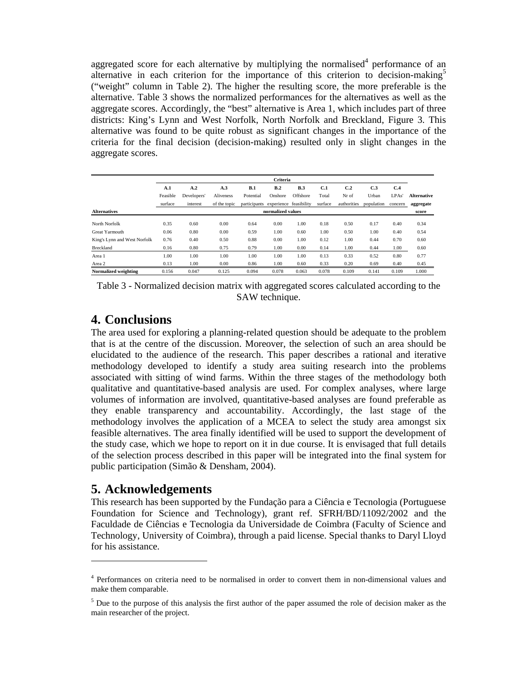aggregated score for each alternative by multiplying the normalised<sup>4</sup> performance of an alternative in each criterion for the importance of this criterion to decision-making $\delta$ ("weight" column in Table 2). The higher the resulting score, the more preferable is the alternative. Table 3 shows the normalized performances for the alternatives as well as the aggregate scores. Accordingly, the "best" alternative is Area 1, which includes part of three districts: King's Lynn and West Norfolk, North Norfolk and Breckland, Figure 3. This alternative was found to be quite robust as significant changes in the importance of the criteria for the final decision (decision-making) resulted only in slight changes in the aggregate scores.

|                              | Criteria |                   |              |                                     |         |            |         |             |            |         |                    |
|------------------------------|----------|-------------------|--------------|-------------------------------------|---------|------------|---------|-------------|------------|---------|--------------------|
|                              | A.1      | A.2               | A.3          | B.1                                 | B.2     | <b>B.3</b> | C.1     | C.2         | C.3        | C.4     |                    |
|                              | Feasible | Developers'       | Aliveness    | Potential                           | Onshore | Offshore   | Total   | Nr of       | Urban      | LPAs'   | <b>Alternative</b> |
|                              | surface  | interest          | of the topic | participants experience feasibility |         |            | surface | authorities | population | concern | aggregate          |
| <b>Alternatives</b>          |          | normalized values |              |                                     |         |            |         |             |            |         | score              |
| North Norfolk                | 0.35     | 0.60              | 0.00         | 0.64                                | 0.00    | 1.00       | 0.18    | 0.50        | 0.17       | 0.40    | 0.34               |
| Great Yarmouth               | 0.06     | 0.80              | 0.00         | 0.59                                | 1.00    | 0.60       | 1.00    | 0.50        | 1.00       | 0.40    | 0.54               |
| King's Lynn and West Norfolk | 0.76     | 0.40              | 0.50         | 0.88                                | 0.00    | 1.00       | 0.12    | 1.00        | 0.44       | 0.70    | 0.60               |
| Breckland                    | 0.16     | 0.80              | 0.75         | 0.79                                | 1.00    | 0.00       | 0.14    | 1.00        | 0.44       | 1.00    | 0.60               |
| Area 1                       | 1.00     | 1.00              | 1.00         | 1.00                                | 1.00    | 1.00       | 0.13    | 0.33        | 0.52       | 0.80    | 0.77               |
| Area 2                       | 0.13     | 1.00              | 0.00         | 0.86                                | 1.00    | 0.60       | 0.33    | 0.20        | 0.69       | 0.40    | 0.45               |
| Normalized weighting         | 0.156    | 0.047             | 0.125        | 0.094                               | 0.078   | 0.063      | 0.078   | 0.109       | 0.141      | 0.109   | 1.000              |

Table 3 - Normalized decision matrix with aggregated scores calculated according to the SAW technique.

# **4. Conclusions**

The area used for exploring a planning-related question should be adequate to the problem that is at the centre of the discussion. Moreover, the selection of such an area should be elucidated to the audience of the research. This paper describes a rational and iterative methodology developed to identify a study area suiting research into the problems associated with sitting of wind farms. Within the three stages of the methodology both qualitative and quantitative-based analysis are used. For complex analyses, where large volumes of information are involved, quantitative-based analyses are found preferable as they enable transparency and accountability. Accordingly, the last stage of the methodology involves the application of a MCEA to select the study area amongst six feasible alternatives. The area finally identified will be used to support the development of the study case, which we hope to report on it in due course. It is envisaged that full details of the selection process described in this paper will be integrated into the final system for public participation (Simão & Densham, 2004).

# **5. Acknowledgements**

 $\overline{a}$ 

This research has been supported by the Fundação para a Ciência e Tecnologia (Portuguese Foundation for Science and Technology), grant ref. SFRH/BD/11092/2002 and the Faculdade de Ciências e Tecnologia da Universidade de Coimbra (Faculty of Science and Technology, University of Coimbra), through a paid license. Special thanks to Daryl Lloyd for his assistance.

<sup>&</sup>lt;sup>4</sup> Performances on criteria need to be normalised in order to convert them in non-dimensional values and make them comparable.

<sup>&</sup>lt;sup>5</sup> Due to the purpose of this analysis the first author of the paper assumed the role of decision maker as the main researcher of the project.